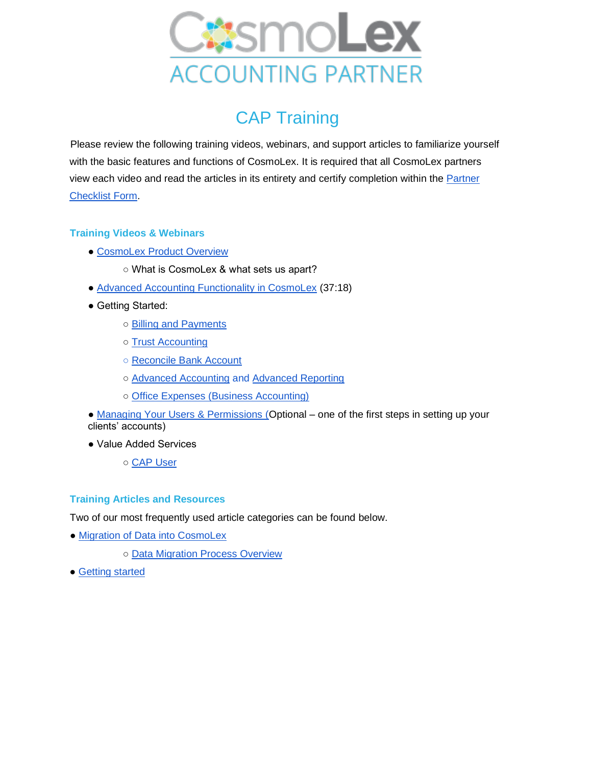

## CAP Training

Please review the following training videos, webinars, and support articles to familiarize yourself with the basic features and functions of CosmoLex. It is required that all CosmoLex partners view each video and read the articles in its entirety and certify completion within the [Partner](https://docs.google.com/forms/d/1Be42F_0VOKIs-sW8ikOAegELbEgJYeQ93EZoEuCexYo/edit)  [Checklist Form.](https://docs.google.com/forms/d/1Be42F_0VOKIs-sW8ikOAegELbEgJYeQ93EZoEuCexYo/edit)

## **Training Videos & Webinars**

- ● [CosmoLex Product Overview](https://www.cosmolex.com/?video=overview)
	- What is CosmoLex & what sets us apart?
- ● [Advanced Accounting Functionality in CosmoLex](https://support.cosmolex.com/knowledge-base/webinar-advanced-accounting-functionality/) (37:18)
- Getting Started:
	- ○ [Billing and Payments](https://support.cosmolex.com/articles/billing/)
	- ○ [Trust Accounting](https://support.cosmolex.com/articles/trust-accounting/)
	- ○ [Reconcile Bank Account](https://support.cosmolex.com/knowledge-base/reconcile-your-bank-account/)
	- Advanced Accounting and [Advanced Reporting](https://support.cosmolex.com/knowledge-base/create-class-based-reports/)
	- ○ [Office Expenses \(Business Accounting\)](https://support.cosmolex.com/articles/business-accounting/)
- • [Managing Your Users & Permissions \(O](https://support.cosmolex.com/knowledge-base/manage-user-roles/)ptional one of the first steps in setting up your clients' accounts)
- Value Added Services

○ CAP User

## **Training Articles and Resources**

Two of our most frequently used article categories can be found below.

- • [Migration of Data into CosmoLex](https://support.cosmolex.com/articles/data-migration/)
	- ○ [Data Migration Process Overview](https://cosmolex.wistia.com/medias/uu6jtpurhb)
- • [Getting started](https://support.cosmolex.com/knowledge-base/firm-settings/)